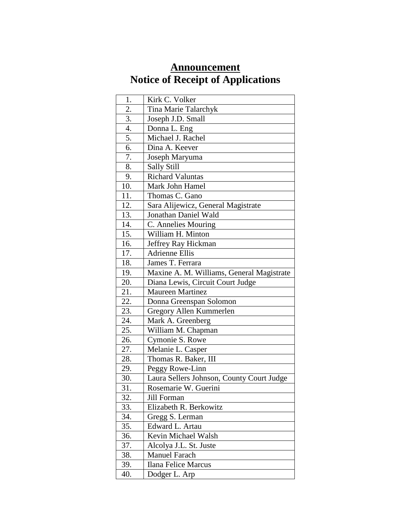## **Announcement Notice of Receipt of Applications**

| 1.            | Kirk C. Volker                            |
|---------------|-------------------------------------------|
| 2.            | Tina Marie Talarchyk                      |
| 3.            | Joseph J.D. Small                         |
| 4.            | Donna L. Eng                              |
| 5.            | Michael J. Rachel                         |
| 6.            | Dina A. Keever                            |
| 7.            | Joseph Maryuma                            |
| 8.            | Sally Still                               |
| 9.            | <b>Richard Valuntas</b>                   |
| 10.           | Mark John Hamel                           |
| 11.           | Thomas C. Gano                            |
| 12.           | Sara Alijewicz, General Magistrate        |
| 13.           | Jonathan Daniel Wald                      |
| 14.           | C. Annelies Mouring                       |
| 15.           | William H. Minton                         |
| 16.           | Jeffrey Ray Hickman                       |
| 17.           | <b>Adrienne Ellis</b>                     |
| 18.           | James T. Ferrara                          |
| 19.           | Maxine A. M. Williams, General Magistrate |
| 20.           | Diana Lewis, Circuit Court Judge          |
| 21.           | Maureen Martinez                          |
| 22.           | Donna Greenspan Solomon                   |
| 23.           | Gregory Allen Kummerlen                   |
| $\sqrt{24}$ . | Mark A. Greenberg                         |
| 25.           | William M. Chapman                        |
| 26.           | Cymonie S. Rowe                           |
| 27.           | Melanie L. Casper                         |
| 28.           | Thomas R. Baker, III                      |
| 29.           | Peggy Rowe-Linn                           |
| 30.           | Laura Sellers Johnson, County Court Judge |
| 31.           | Rosemarie W. Guerini                      |
| 32.           | Jill Forman                               |
| 33.           | Elizabeth R. Berkowitz                    |
| 34.           | Gregg S. Lerman                           |
| 35.           | Edward L. Artau                           |
| 36.           | Kevin Michael Walsh                       |
| 37.           | Alcolya J.L. St. Juste                    |
| 38.           | <b>Manuel Farach</b>                      |
| 39.           | Ilana Felice Marcus                       |
| 40.           | Dodger L. Arp                             |